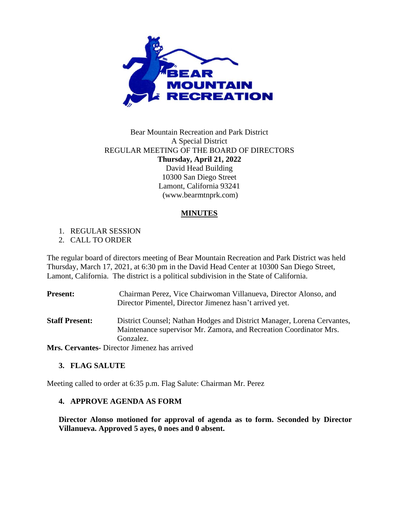

## Bear Mountain Recreation and Park District A Special District REGULAR MEETING OF THE BOARD OF DIRECTORS **Thursday, April 21, 2022** David Head Building 10300 San Diego Street Lamont, California 93241 (www.bearmtnprk.com)

### **MINUTES**

1. REGULAR SESSION

2. CALL TO ORDER

The regular board of directors meeting of Bear Mountain Recreation and Park District was held Thursday, March 17, 2021, at 6:30 pm in the David Head Center at 10300 San Diego Street, Lamont, California. The district is a political subdivision in the State of California.

| <b>Present:</b>       | Chairman Perez, Vice Chairwoman Villanueva, Director Alonso, and<br>Director Pimentel, Director Jimenez hasn't arrived yet.                   |
|-----------------------|-----------------------------------------------------------------------------------------------------------------------------------------------|
| <b>Staff Present:</b> | District Counsel; Nathan Hodges and District Manager, Lorena Cervantes,<br>Maintenance supervisor Mr. Zamora, and Recreation Coordinator Mrs. |
|                       | Gonzalez.                                                                                                                                     |
|                       | Mrs. Cervantes. Director limenez has arrived                                                                                                  |

**Mrs. Cervantes-** Director Jimenez has arrived

# **3. FLAG SALUTE**

Meeting called to order at 6:35 p.m. Flag Salute: Chairman Mr. Perez

### **4. APPROVE AGENDA AS FORM**

**Director Alonso motioned for approval of agenda as to form. Seconded by Director Villanueva. Approved 5 ayes, 0 noes and 0 absent.**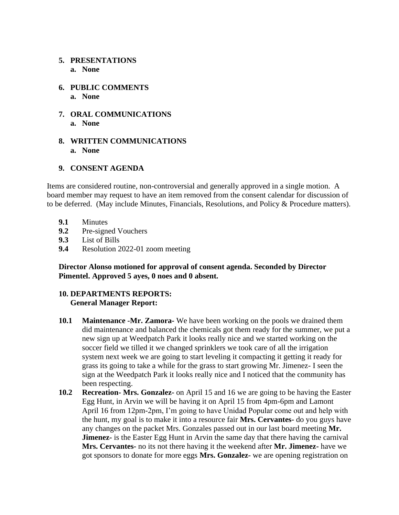### **5. PRESENTATIONS**

- **a. None**
- **6. PUBLIC COMMENTS a. None**
- **7. ORAL COMMUNICATIONS a. None**
- **8. WRITTEN COMMUNICATIONS a. None**

### **9. CONSENT AGENDA**

Items are considered routine, non-controversial and generally approved in a single motion. A board member may request to have an item removed from the consent calendar for discussion of to be deferred. (May include Minutes, Financials, Resolutions, and Policy & Procedure matters).

- **9.1** Minutes
- **9.2** Pre-signed Vouchers
- **9.3** List of Bills
- **9.4** Resolution 2022-01 zoom meeting

**Director Alonso motioned for approval of consent agenda. Seconded by Director Pimentel. Approved 5 ayes, 0 noes and 0 absent.**

# **10. DEPARTMENTS REPORTS: General Manager Report:**

- **10.1 Maintenance -Mr. Zamora-** We have been working on the pools we drained them did maintenance and balanced the chemicals got them ready for the summer, we put a new sign up at Weedpatch Park it looks really nice and we started working on the soccer field we tilled it we changed sprinklers we took care of all the irrigation system next week we are going to start leveling it compacting it getting it ready for grass its going to take a while for the grass to start growing Mr. Jimenez- I seen the sign at the Weedpatch Park it looks really nice and I noticed that the community has been respecting.
- **10.2 Recreation- Mrs. Gonzalez-** on April 15 and 16 we are going to be having the Easter Egg Hunt, in Arvin we will be having it on April 15 from 4pm-6pm and Lamont April 16 from 12pm-2pm, I'm going to have Unidad Popular come out and help with the hunt, my goal is to make it into a resource fair **Mrs. Cervantes-** do you guys have any changes on the packet Mrs. Gonzales passed out in our last board meeting **Mr. Jimenez-** is the Easter Egg Hunt in Arvin the same day that there having the carnival **Mrs. Cervantes-** no its not there having it the weekend after **Mr. Jimenez-** have we got sponsors to donate for more eggs **Mrs. Gonzalez-** we are opening registration on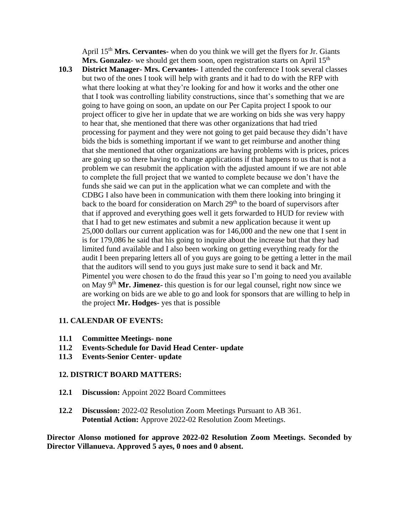April 15th **Mrs. Cervantes-** when do you think we will get the flyers for Jr. Giants **Mrs. Gonzalez-** we should get them soon, open registration starts on April 15<sup>th</sup>

**10.3 District Manager- Mrs. Cervantes-** I attended the conference I took several classes but two of the ones I took will help with grants and it had to do with the RFP with what there looking at what they're looking for and how it works and the other one that I took was controlling liability constructions, since that's something that we are going to have going on soon, an update on our Per Capita project I spook to our project officer to give her in update that we are working on bids she was very happy to hear that, she mentioned that there was other organizations that had tried processing for payment and they were not going to get paid because they didn't have bids the bids is something important if we want to get reimburse and another thing that she mentioned that other organizations are having problems with is prices, prices are going up so there having to change applications if that happens to us that is not a problem we can resubmit the application with the adjusted amount if we are not able to complete the full project that we wanted to complete because we don't have the funds she said we can put in the application what we can complete and with the CDBG I also have been in communication with them there looking into bringing it back to the board for consideration on March  $29<sup>th</sup>$  to the board of supervisors after that if approved and everything goes well it gets forwarded to HUD for review with that I had to get new estimates and submit a new application because it went up 25,000 dollars our current application was for 146,000 and the new one that I sent in is for 179,086 he said that his going to inquire about the increase but that they had limited fund available and I also been working on getting everything ready for the audit I been preparing letters all of you guys are going to be getting a letter in the mail that the auditors will send to you guys just make sure to send it back and Mr. Pimentel you were chosen to do the fraud this year so I'm going to need you available on May 9th **Mr. Jimenez-** this question is for our legal counsel, right now since we are working on bids are we able to go and look for sponsors that are willing to help in the project **Mr. Hodges-** yes that is possible

#### **11. CALENDAR OF EVENTS:**

- **11.1 Committee Meetings- none**
- **11.2 Events-Schedule for David Head Center- update**
- **11.3 Events-Senior Center- update**

#### **12. DISTRICT BOARD MATTERS:**

- **12.1 Discussion:** Appoint 2022 Board Committees
- **12.2 Discussion:** 2022-02 Resolution Zoom Meetings Pursuant to AB 361. **Potential Action:** Approve 2022-02 Resolution Zoom Meetings.

**Director Alonso motioned for approve 2022-02 Resolution Zoom Meetings. Seconded by Director Villanueva. Approved 5 ayes, 0 noes and 0 absent.**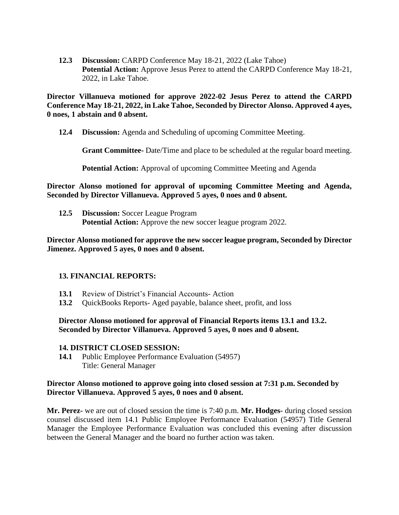**12.3 Discussion:** CARPD Conference May 18-21, 2022 (Lake Tahoe) **Potential Action:** Approve Jesus Perez to attend the CARPD Conference May 18-21, 2022, in Lake Tahoe.

**Director Villanueva motioned for approve 2022-02 Jesus Perez to attend the CARPD Conference May 18-21, 2022, in Lake Tahoe, Seconded by Director Alonso. Approved 4 ayes, 0 noes, 1 abstain and 0 absent.**

**12.4 Discussion:** Agenda and Scheduling of upcoming Committee Meeting.

**Grant Committee-** Date/Time and place to be scheduled at the regular board meeting.

**Potential Action:** Approval of upcoming Committee Meeting and Agenda

**Director Alonso motioned for approval of upcoming Committee Meeting and Agenda, Seconded by Director Villanueva. Approved 5 ayes, 0 noes and 0 absent.**

**12.5 Discussion:** Soccer League Program **Potential Action:** Approve the new soccer league program 2022.

**Director Alonso motioned for approve the new soccer league program, Seconded by Director Jimenez. Approved 5 ayes, 0 noes and 0 absent.**

### **13. FINANCIAL REPORTS:**

- **13.1** Review of District's Financial Accounts- Action
- **13.2** QuickBooks Reports- Aged payable, balance sheet, profit, and loss

**Director Alonso motioned for approval of Financial Reports items 13.1 and 13.2. Seconded by Director Villanueva. Approved 5 ayes, 0 noes and 0 absent.**

#### **14. DISTRICT CLOSED SESSION:**

**14.1** Public Employee Performance Evaluation (54957) Title: General Manager

#### **Director Alonso motioned to approve going into closed session at 7:31 p.m. Seconded by Director Villanueva. Approved 5 ayes, 0 noes and 0 absent.**

**Mr. Perez-** we are out of closed session the time is 7:40 p.m. **Mr. Hodges-** during closed session counsel discussed item 14.1 Public Employee Performance Evaluation (54957) Title General Manager the Employee Performance Evaluation was concluded this evening after discussion between the General Manager and the board no further action was taken.